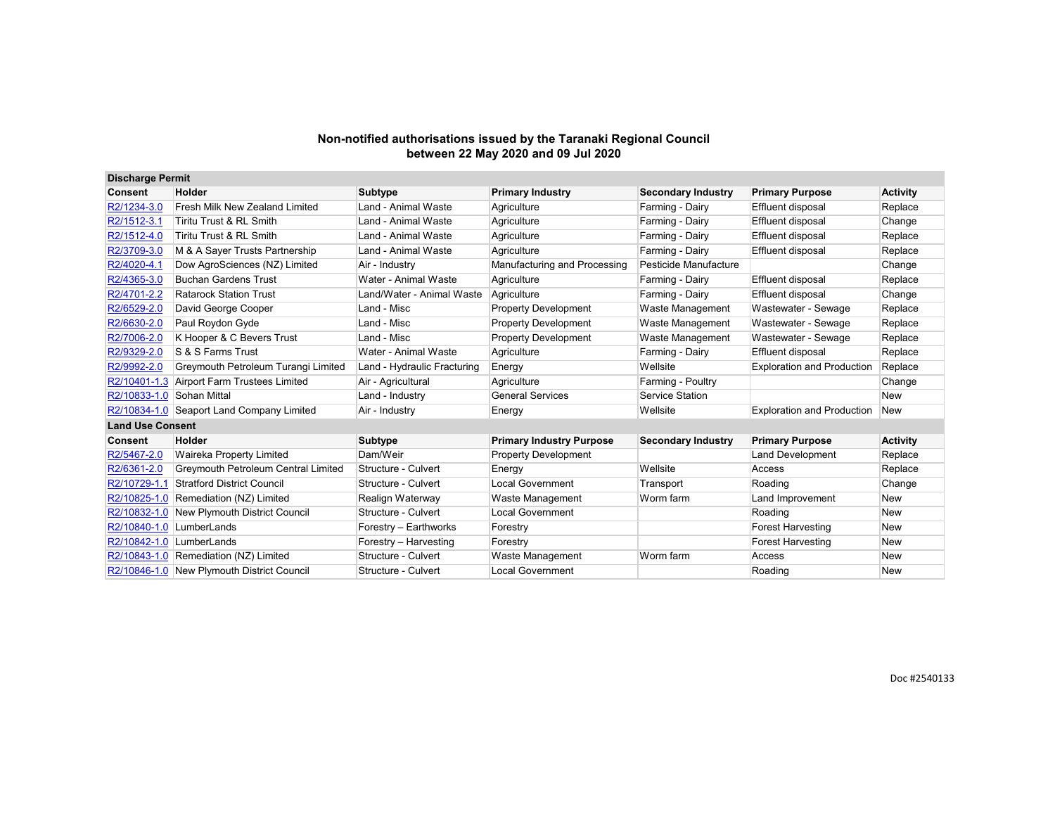| <b>Discharge Permit</b> |                                            |                             |                                 |                           |                                   |                 |
|-------------------------|--------------------------------------------|-----------------------------|---------------------------------|---------------------------|-----------------------------------|-----------------|
| Consent                 | Holder                                     | <b>Subtype</b>              | <b>Primary Industry</b>         | <b>Secondary Industry</b> | <b>Primary Purpose</b>            | Activity        |
| R2/1234-3.0             | Fresh Milk New Zealand Limited             | Land - Animal Waste         | Agriculture                     | Farming - Dairy           | Effluent disposal                 | Replace         |
| R2/1512-3.1             | Tiritu Trust & RL Smith                    | Land - Animal Waste         | Agriculture                     | Farming - Dairy           | Effluent disposal                 | Change          |
| R2/1512-4.0             | Tiritu Trust & RL Smith                    | Land - Animal Waste         | Agriculture                     | Farming - Dairy           | Effluent disposal                 | Replace         |
| R2/3709-3.0             | M & A Sayer Trusts Partnership             | Land - Animal Waste         | Agriculture                     | Farming - Dairy           | Effluent disposal                 | Replace         |
| R2/4020-4.1             | Dow AgroSciences (NZ) Limited              | Air - Industry              | Manufacturing and Processing    | Pesticide Manufacture     |                                   | Change          |
| R2/4365-3.0             | <b>Buchan Gardens Trust</b>                | Water - Animal Waste        | Agriculture                     | Farming - Dairy           | <b>Effluent disposal</b>          | Replace         |
| R2/4701-2.2             | <b>Ratarock Station Trust</b>              | Land/Water - Animal Waste   | Agriculture                     | Farming - Dairy           | Effluent disposal                 | Change          |
| R2/6529-2.0             | David George Cooper                        | Land - Misc                 | <b>Property Development</b>     | Waste Management          | Wastewater - Sewage               | Replace         |
| R2/6630-2.0             | Paul Roydon Gyde                           | Land - Misc                 | <b>Property Development</b>     | Waste Management          | Wastewater - Sewage               | Replace         |
| R2/7006-2.0             | K Hooper & C Bevers Trust                  | Land - Misc                 | <b>Property Development</b>     | Waste Management          | Wastewater - Sewage               | Replace         |
| R2/9329-2.0             | S & S Farms Trust                          | Water - Animal Waste        | Agriculture                     | Farming - Dairy           | Effluent disposal                 | Replace         |
| R2/9992-2.0             | Greymouth Petroleum Turangi Limited        | Land - Hydraulic Fracturing | Energy                          | Wellsite                  | <b>Exploration and Production</b> | Replace         |
| R2/10401-1.3            | <b>Airport Farm Trustees Limited</b>       | Air - Agricultural          | Agriculture                     | Farming - Poultry         |                                   | Change          |
| R2/10833-1.0            | Sohan Mittal                               | Land - Industry             | <b>General Services</b>         | Service Station           |                                   | <b>New</b>      |
|                         | R2/10834-1.0 Seaport Land Company Limited  | Air - Industry              | Energy                          | Wellsite                  | <b>Exploration and Production</b> | <b>New</b>      |
| <b>Land Use Consent</b> |                                            |                             |                                 |                           |                                   |                 |
| <b>Consent</b>          | Holder                                     | <b>Subtype</b>              | <b>Primary Industry Purpose</b> | <b>Secondary Industry</b> | <b>Primary Purpose</b>            | <b>Activity</b> |
| R2/5467-2.0             | Waireka Property Limited                   | Dam/Weir                    | <b>Property Development</b>     |                           | <b>Land Development</b>           | Replace         |
| R2/6361-2.0             | Greymouth Petroleum Central Limited        | Structure - Culvert         | Energy                          | Wellsite                  | Access                            | Replace         |
| R2/10729-1.1            | <b>Stratford District Council</b>          | Structure - Culvert         | <b>Local Government</b>         | Transport                 | Roading                           | Change          |
| R2/10825-1.0            | Remediation (NZ) Limited                   | Realign Waterway            | Waste Management                | Worm farm                 | Land Improvement                  | New             |
| R2/10832-1.0            | New Plymouth District Council              | Structure - Culvert         | <b>Local Government</b>         |                           | Roading                           | <b>New</b>      |
| R2/10840-1.0            | LumberLands                                | Forestry - Earthworks       | Forestry                        |                           | <b>Forest Harvesting</b>          | <b>New</b>      |
| R2/10842-1.0            | LumberLands                                | Forestry - Harvesting       | Forestry                        |                           | <b>Forest Harvesting</b>          | <b>New</b>      |
|                         | R2/10843-1.0 Remediation (NZ) Limited      | Structure - Culvert         | Waste Management                | Worm farm                 | Access                            | <b>New</b>      |
|                         | R2/10846-1.0 New Plymouth District Council | Structure - Culvert         | Local Government                |                           | Roading                           | New             |

Doc #2540133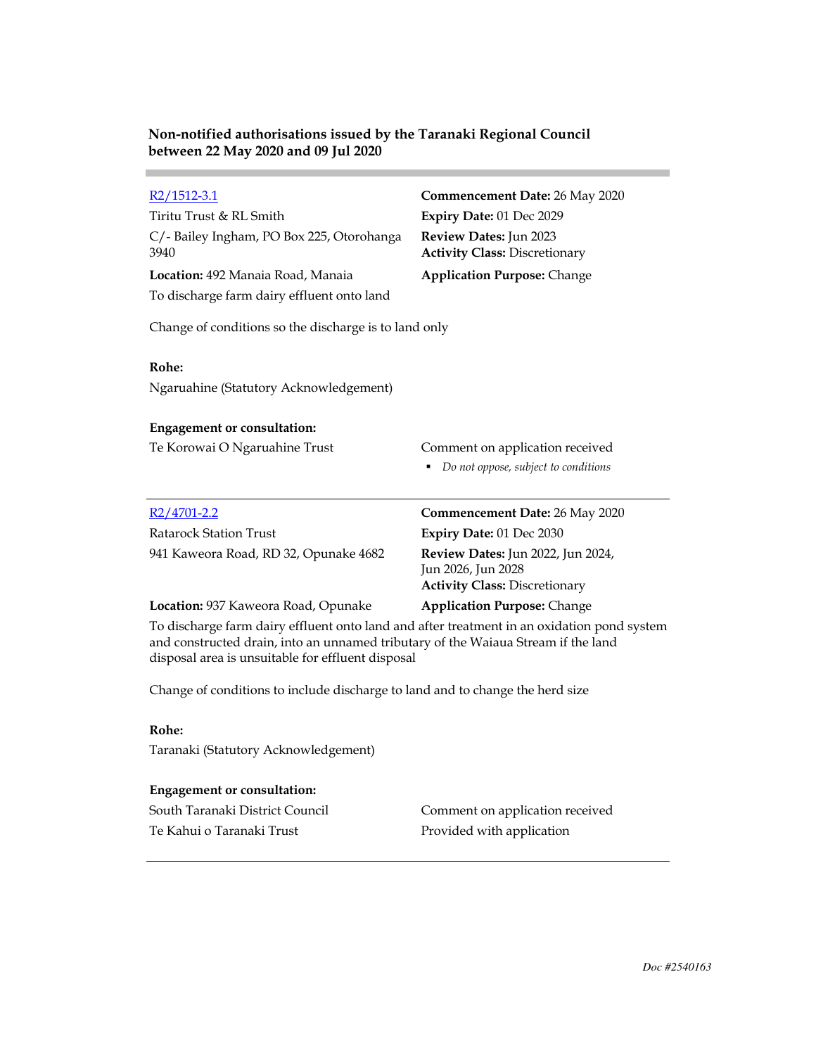**Contract Contract** 

| $R2/1512-3.1$<br>Tiritu Trust & RL Smith<br>C/-Bailey Ingham, PO Box 225, Otorohanga<br>3940<br>Location: 492 Manaia Road, Manaia<br>To discharge farm dairy effluent onto land                                                      | <b>Commencement Date: 26 May 2020</b><br>Expiry Date: 01 Dec 2029<br>Review Dates: Jun 2023<br><b>Activity Class: Discretionary</b><br><b>Application Purpose: Change</b> |  |
|--------------------------------------------------------------------------------------------------------------------------------------------------------------------------------------------------------------------------------------|---------------------------------------------------------------------------------------------------------------------------------------------------------------------------|--|
| Change of conditions so the discharge is to land only                                                                                                                                                                                |                                                                                                                                                                           |  |
| Rohe:<br>Ngaruahine (Statutory Acknowledgement)                                                                                                                                                                                      |                                                                                                                                                                           |  |
| <b>Engagement or consultation:</b>                                                                                                                                                                                                   |                                                                                                                                                                           |  |
| Te Korowai O Ngaruahine Trust                                                                                                                                                                                                        | Comment on application received<br>Do not oppose, subject to conditions<br>٠                                                                                              |  |
| $R2/4701 - 2.2$                                                                                                                                                                                                                      | <b>Commencement Date: 26 May 2020</b>                                                                                                                                     |  |
| <b>Ratarock Station Trust</b>                                                                                                                                                                                                        | Expiry Date: 01 Dec 2030                                                                                                                                                  |  |
| 941 Kaweora Road, RD 32, Opunake 4682                                                                                                                                                                                                | Review Dates: Jun 2022, Jun 2024,<br>Jun 2026, Jun 2028<br><b>Activity Class: Discretionary</b>                                                                           |  |
| Location: 937 Kaweora Road, Opunake                                                                                                                                                                                                  | <b>Application Purpose: Change</b>                                                                                                                                        |  |
| To discharge farm dairy effluent onto land and after treatment in an oxidation pond system<br>and constructed drain, into an unnamed tributary of the Waiaua Stream if the land<br>disposal area is unsuitable for effluent disposal |                                                                                                                                                                           |  |
| Change of conditions to include discharge to land and to change the herd size                                                                                                                                                        |                                                                                                                                                                           |  |
| Rohe:                                                                                                                                                                                                                                |                                                                                                                                                                           |  |
| Taranaki (Statutory Acknowledgement)                                                                                                                                                                                                 |                                                                                                                                                                           |  |
| <b>Engagement or consultation:</b>                                                                                                                                                                                                   |                                                                                                                                                                           |  |
| South Taranaki District Council                                                                                                                                                                                                      | Comment on application received                                                                                                                                           |  |
| Te Kahui o Taranaki Trust                                                                                                                                                                                                            | Provided with application                                                                                                                                                 |  |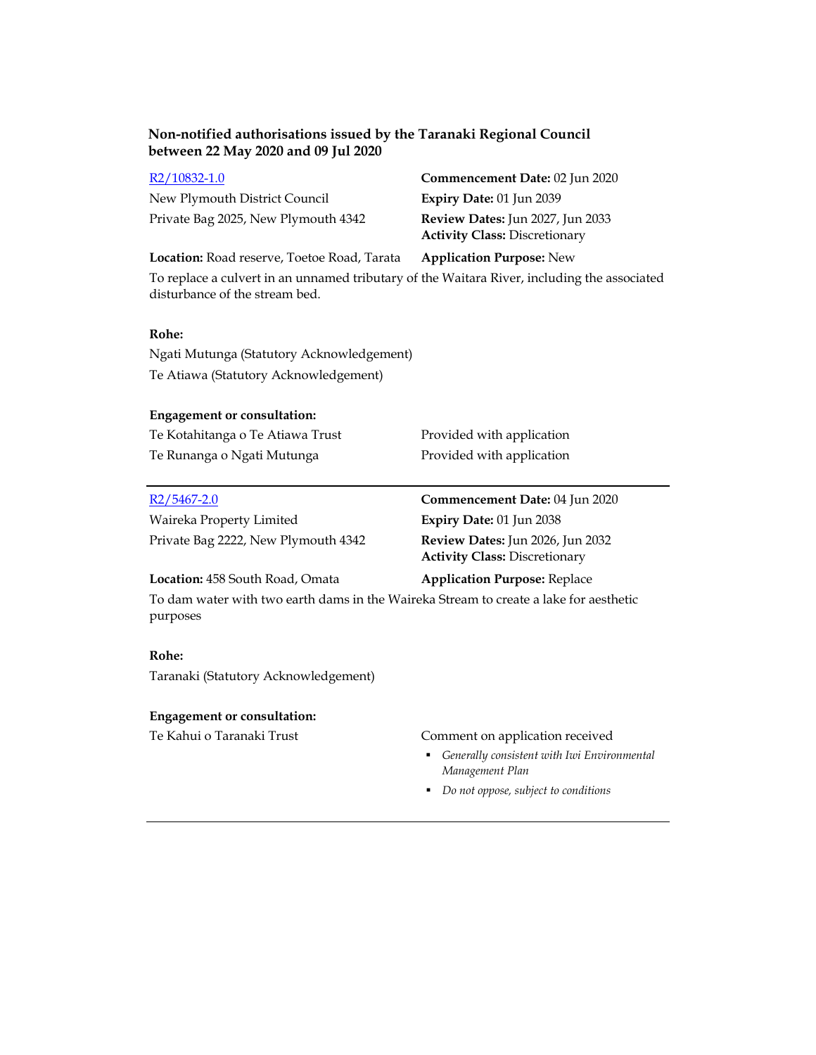| R <sub>2</sub> /10832-1.0           | Commencement Date: 02 Jun 2020                                                  |
|-------------------------------------|---------------------------------------------------------------------------------|
| New Plymouth District Council       | Expiry Date: $01$ Jun 2039                                                      |
| Private Bag 2025, New Plymouth 4342 | <b>Review Dates:</b> Jun 2027, Jun 2033<br><b>Activity Class: Discretionary</b> |

**Location:** Road reserve, Toetoe Road, Tarata **Application Purpose:** New

To replace a culvert in an unnamed tributary of the Waitara River, including the associated disturbance of the stream bed.

## **Rohe:**

Ngati Mutunga (Statutory Acknowledgement) Te Atiawa (Statutory Acknowledgement)

## **Engagement or consultation:**

| Te Kotahitanga o Te Atiawa Trust | Provided with application |
|----------------------------------|---------------------------|
| Te Runanga o Ngati Mutunga       | Provided with application |

| $R2/5467-2.0$                       | Commencement Date: 04 Jun 2020   |
|-------------------------------------|----------------------------------|
| Waireka Property Limited            | <b>Expiry Date: 01 Jun 2038</b>  |
| Private Bag 2222, New Plymouth 4342 | Review Dates: Jun 2026, Jun 2032 |

Private Bag 2222, New Plymouth 4342 **Review Dates:** Jun 2026, Jun 2032 **Activity Class:** Discretionary

## **Location:** 458 South Road, Omata **Application Purpose:** Replace

To dam water with two earth dams in the Waireka Stream to create a lake for aesthetic purposes

## **Rohe:**

Taranaki (Statutory Acknowledgement)

### **Engagement or consultation:**

## Te Kahui o Taranaki Trust Comment on application received

- *Generally consistent with Iwi Environmental Management Plan*
- *Do not oppose, subject to conditions*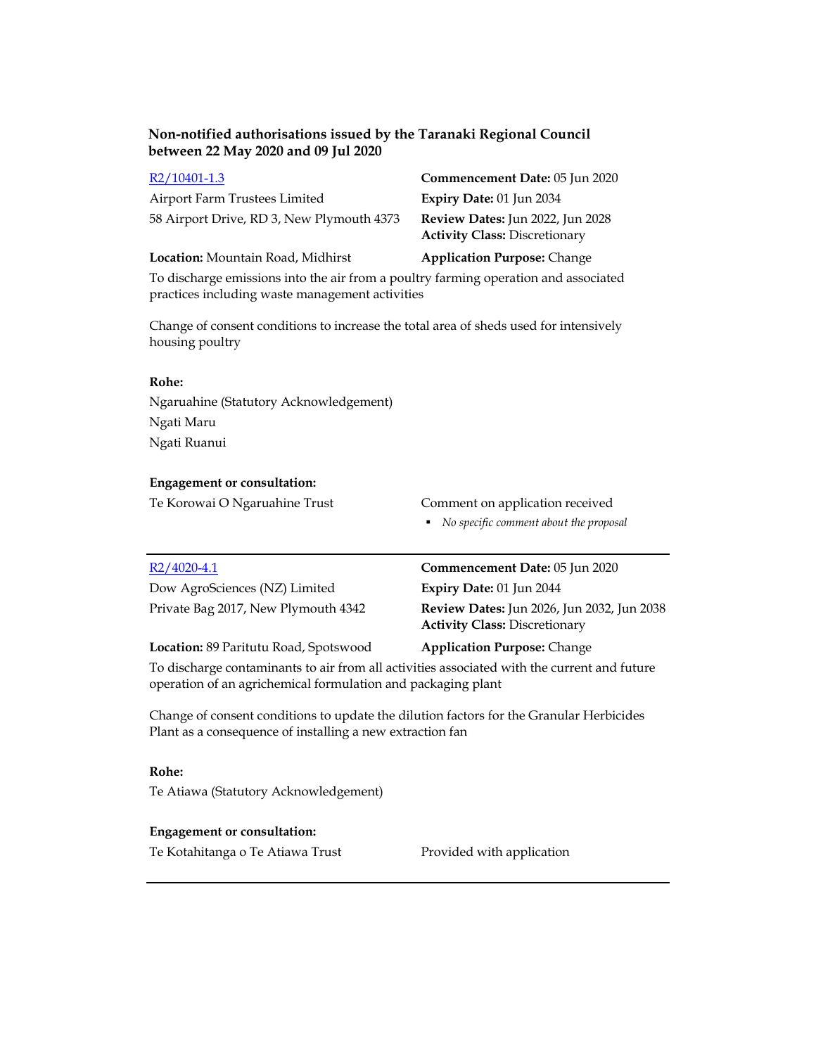| R2/10401-1.3                                                                        | Commencement Date: 05 Jun 2020                                           |  |
|-------------------------------------------------------------------------------------|--------------------------------------------------------------------------|--|
| Airport Farm Trustees Limited                                                       | <b>Expiry Date: 01 Jun 2034</b>                                          |  |
| 58 Airport Drive, RD 3, New Plymouth 4373                                           | Review Dates: Jun 2022, Jun 2028<br><b>Activity Class: Discretionary</b> |  |
| Location: Mountain Road, Midhirst                                                   | <b>Application Purpose: Change</b>                                       |  |
| To disclosure emissions into the six from a meeting forming emerging and associated |                                                                          |  |

To discharge emissions into the air from a poultry farming operation and associated practices including waste management activities

Change of consent conditions to increase the total area of sheds used for intensively housing poultry

## **Rohe:**

Ngaruahine (Statutory Acknowledgement) Ngati Maru Ngati Ruanui

### **Engagement or consultation:**

Te Korowai O Ngaruahine Trust Comment on application received

*No specific comment about the proposal* 

| R2/4020-4.1                         | Commencement Date: 05 Jun 2020                                                            |
|-------------------------------------|-------------------------------------------------------------------------------------------|
| Dow AgroSciences (NZ) Limited       | <b>Expiry Date: 01 Jun 2044</b>                                                           |
| Private Bag 2017, New Plymouth 4342 | <b>Review Dates:</b> Jun 2026, Jun 2032, Jun 2038<br><b>Activity Class: Discretionary</b> |
|                                     |                                                                                           |

**Location:** 89 Paritutu Road, Spotswood **Application Purpose:** Change

To discharge contaminants to air from all activities associated with the current and future operation of an agrichemical formulation and packaging plant

Change of consent conditions to update the dilution factors for the Granular Herbicides Plant as a consequence of installing a new extraction fan

# **Rohe:**

Te Atiawa (Statutory Acknowledgement)

## **Engagement or consultation:**

Te Kotahitanga o Te Atiawa Trust Provided with application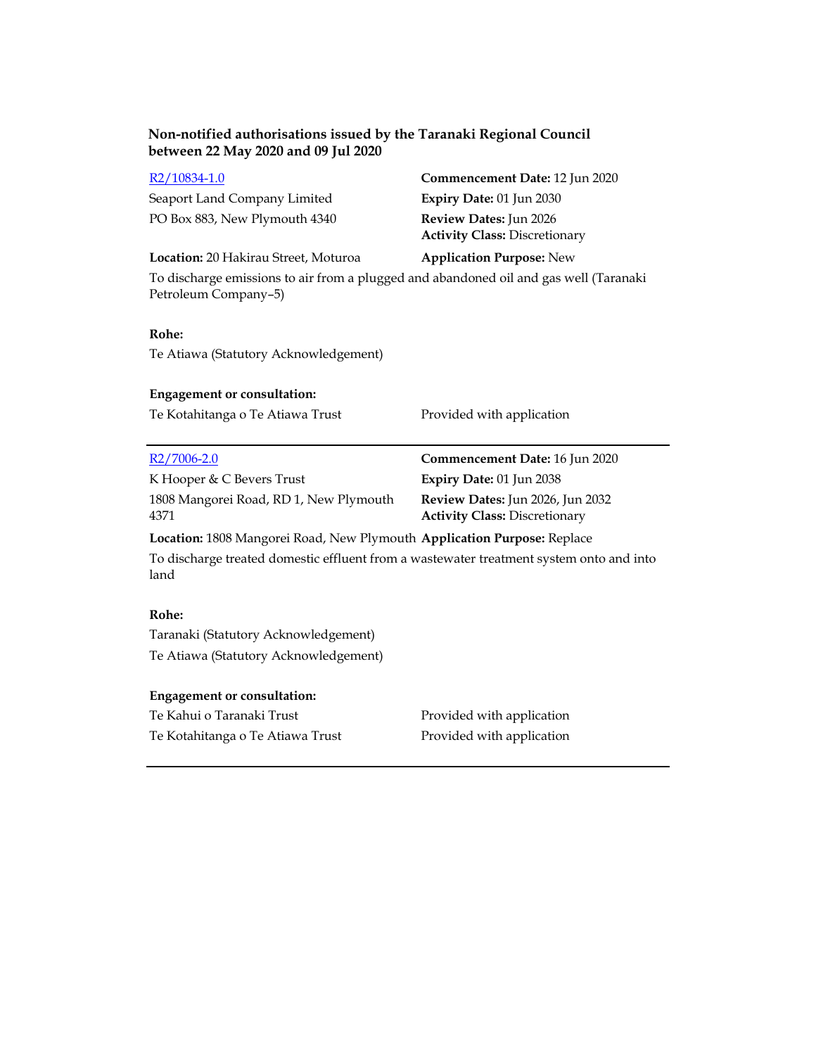| R2/10834-1.0                  | Commencement Date: 12 Jun 2020                                        |
|-------------------------------|-----------------------------------------------------------------------|
| Seaport Land Company Limited  | Expiry Date: $01$ Jun 2030                                            |
| PO Box 883, New Plymouth 4340 | <b>Review Dates:</b> Jun 2026<br><b>Activity Class: Discretionary</b> |

**Location:** 20 Hakirau Street, Moturoa **Application Purpose:** New

To discharge emissions to air from a plugged and abandoned oil and gas well (Taranaki Petroleum Company–5)

# **Rohe:**

Te Atiawa (Statutory Acknowledgement)

# **Engagement or consultation:** Te Kotahitanga o Te Atiawa Trust Provided with application R2/7006-2.0 **Commencement Date:** 16 Jun 2020 K Hooper & C Bevers Trust **Expiry Date:** 01 Jun 2038 1808 Mangorei Road, RD 1, New Plymouth 4371 **Review Dates:** Jun 2026, Jun 2032 **Activity Class:** Discretionary

# **Location:** 1808 Mangorei Road, New Plymouth **Application Purpose:** Replace

To discharge treated domestic effluent from a wastewater treatment system onto and into land

## **Rohe:**

Taranaki (Statutory Acknowledgement) Te Atiawa (Statutory Acknowledgement)

## **Engagement or consultation:**

| Te Kahui o Taranaki Trust        | Provided with application |
|----------------------------------|---------------------------|
| Te Kotahitanga o Te Atiawa Trust | Provided with application |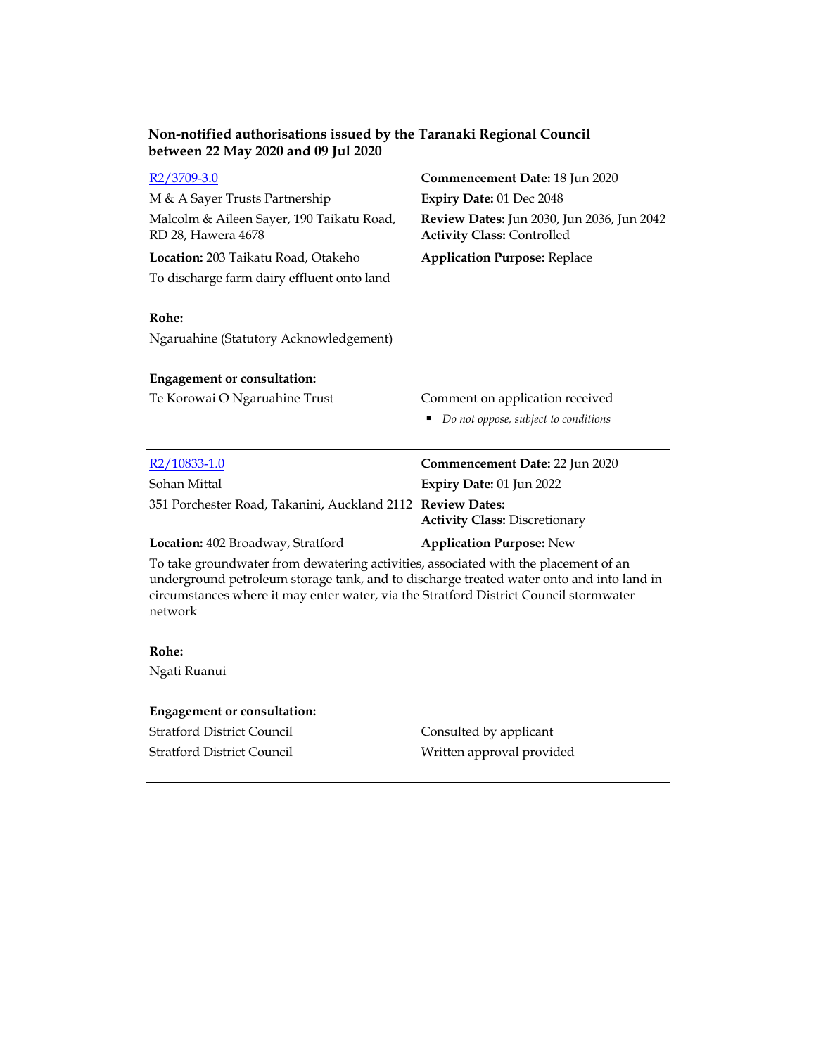| $R2/3709-3.0$                                                                                                                                                                                                                                                                       | Commencement Date: 18 Jun 2020                                                  |  |
|-------------------------------------------------------------------------------------------------------------------------------------------------------------------------------------------------------------------------------------------------------------------------------------|---------------------------------------------------------------------------------|--|
| M & A Sayer Trusts Partnership                                                                                                                                                                                                                                                      | Expiry Date: 01 Dec 2048                                                        |  |
| Malcolm & Aileen Sayer, 190 Taikatu Road,<br>RD 28, Hawera 4678                                                                                                                                                                                                                     | Review Dates: Jun 2030, Jun 2036, Jun 2042<br><b>Activity Class: Controlled</b> |  |
| Location: 203 Taikatu Road, Otakeho                                                                                                                                                                                                                                                 | <b>Application Purpose: Replace</b>                                             |  |
| To discharge farm dairy effluent onto land                                                                                                                                                                                                                                          |                                                                                 |  |
| Rohe:<br>Ngaruahine (Statutory Acknowledgement)                                                                                                                                                                                                                                     |                                                                                 |  |
| <b>Engagement or consultation:</b>                                                                                                                                                                                                                                                  |                                                                                 |  |
| Te Korowai O Ngaruahine Trust                                                                                                                                                                                                                                                       | Comment on application received                                                 |  |
|                                                                                                                                                                                                                                                                                     | Do not oppose, subject to conditions                                            |  |
| $R2/10833-1.0$                                                                                                                                                                                                                                                                      | Commencement Date: 22 Jun 2020                                                  |  |
| Sohan Mittal                                                                                                                                                                                                                                                                        | Expiry Date: 01 Jun 2022                                                        |  |
| 351 Porchester Road, Takanini, Auckland 2112 Review Dates:                                                                                                                                                                                                                          | <b>Activity Class: Discretionary</b>                                            |  |
| Location: 402 Broadway, Stratford                                                                                                                                                                                                                                                   | <b>Application Purpose: New</b>                                                 |  |
| To take groundwater from dewatering activities, associated with the placement of an<br>underground petroleum storage tank, and to discharge treated water onto and into land in<br>circumstances where it may enter water, via the Stratford District Council stormwater<br>network |                                                                                 |  |

# **Rohe:**

Ngati Ruanui

# **Engagement or consultation:**

Stratford District Council Consulted by applicant

Stratford District Council Written approval provided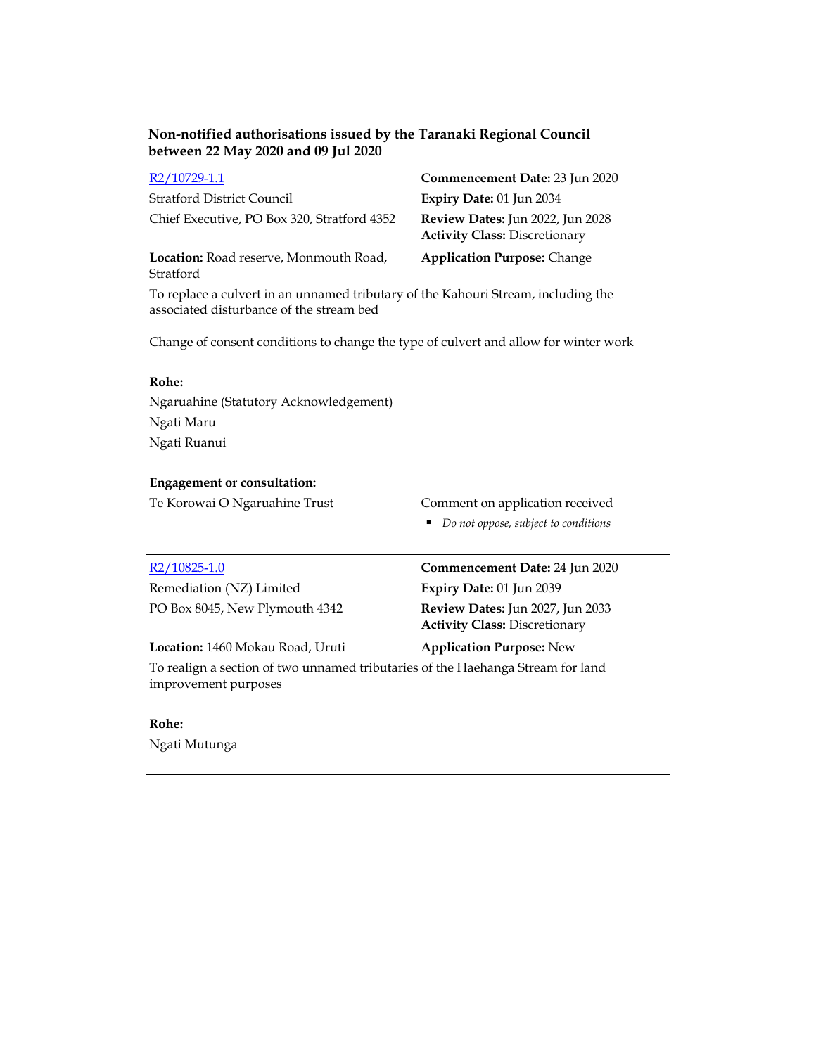| R2/10729-1.1                                        | Commencement Date: 23 Jun 2020                                           |
|-----------------------------------------------------|--------------------------------------------------------------------------|
| <b>Stratford District Council</b>                   | <b>Expiry Date: 01 Jun 2034</b>                                          |
| Chief Executive, PO Box 320, Stratford 4352         | Review Dates: Jun 2022, Jun 2028<br><b>Activity Class: Discretionary</b> |
| Location: Road reserve, Monmouth Road,<br>Stratford | <b>Application Purpose: Change</b>                                       |

To replace a culvert in an unnamed tributary of the Kahouri Stream, including the associated disturbance of the stream bed

Change of consent conditions to change the type of culvert and allow for winter work

# **Rohe:**

Ngaruahine (Statutory Acknowledgement) Ngati Maru Ngati Ruanui

### **Engagement or consultation:**

Te Korowai O Ngaruahine Trust Comment on application received

*Do not oppose, subject to conditions*

Remediation (NZ) Limited **Expiry Date:** 01 Jun 2039

R2/10825-1.0 **Commencement Date:** 24 Jun 2020 PO Box 8045, New Plymouth 4342 **Review Dates:** Jun 2027, Jun 2033 **Activity Class:** Discretionary

## **Location:** 1460 Mokau Road, Uruti **Application Purpose:** New

To realign a section of two unnamed tributaries of the Haehanga Stream for land improvement purposes

### **Rohe:**

Ngati Mutunga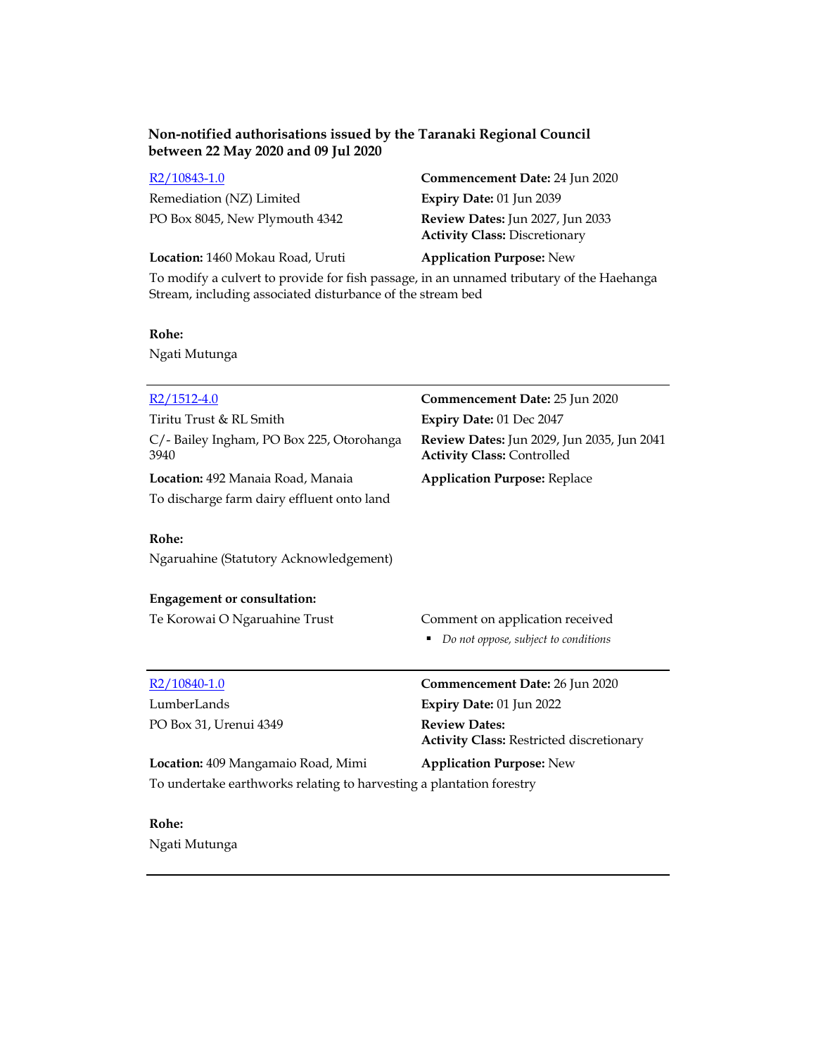Remediation (NZ) Limited **Expiry Date:** 01 Jun 2039

R2/10843-1.0 **Commencement Date:** 24 Jun 2020 PO Box 8045, New Plymouth 4342 **Review Dates:** Jun 2027, Jun 2033 **Activity Class:** Discretionary

**Location:** 1460 Mokau Road, Uruti **Application Purpose:** New

To modify a culvert to provide for fish passage, in an unnamed tributary of the Haehanga Stream, including associated disturbance of the stream bed

## **Rohe:**

Ngati Mutunga

| $R2/1512-4.0$                                                        | Commencement Date: 25 Jun 2020                                                  |
|----------------------------------------------------------------------|---------------------------------------------------------------------------------|
| Tiritu Trust & RL Smith                                              | Expiry Date: 01 Dec 2047                                                        |
| C/-Bailey Ingham, PO Box 225, Otorohanga<br>3940                     | Review Dates: Jun 2029, Jun 2035, Jun 2041<br><b>Activity Class: Controlled</b> |
| Location: 492 Manaia Road, Manaia                                    | <b>Application Purpose: Replace</b>                                             |
| To discharge farm dairy effluent onto land                           |                                                                                 |
| Rohe:                                                                |                                                                                 |
| Ngaruahine (Statutory Acknowledgement)                               |                                                                                 |
| <b>Engagement or consultation:</b>                                   |                                                                                 |
| Te Korowai O Ngaruahine Trust                                        | Comment on application received                                                 |
|                                                                      | Do not oppose, subject to conditions                                            |
| $R2/10840-1.0$                                                       | Commencement Date: 26 Jun 2020                                                  |
| LumberLands                                                          | Expiry Date: 01 Jun 2022                                                        |
| PO Box 31, Urenui 4349                                               | <b>Review Dates:</b>                                                            |
|                                                                      | <b>Activity Class: Restricted discretionary</b>                                 |
| Location: 409 Mangamaio Road, Mimi                                   | <b>Application Purpose: New</b>                                                 |
| To undertake earthworks relating to harvesting a plantation forestry |                                                                                 |
| Rohe:                                                                |                                                                                 |

Ngati Mutunga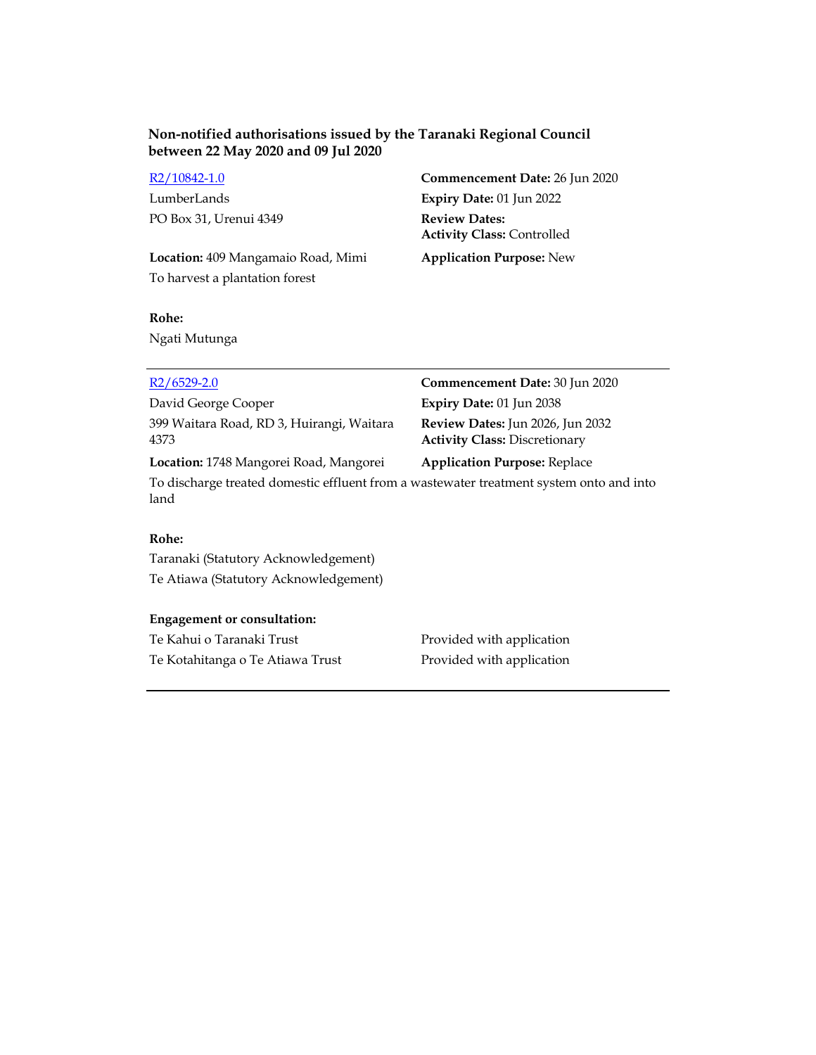PO Box 31, Urenui 4349 **Review Dates:**

**Location:** 409 Mangamaio Road, Mimi **Application Purpose:** New To harvest a plantation forest

R2/10842-1.0 **Commencement Date:** 26 Jun 2020 LumberLands **Expiry Date:** 01 Jun 2022 **Activity Class:** Controlled

## **Rohe:**

Ngati Mutunga

| $R2/6529-2.0$                                                                                   | Commencement Date: 30 Jun 2020                                           |
|-------------------------------------------------------------------------------------------------|--------------------------------------------------------------------------|
| David George Cooper                                                                             | Expiry Date: 01 Jun 2038                                                 |
| 399 Waitara Road, RD 3, Huirangi, Waitara<br>4373                                               | Review Dates: Jun 2026, Jun 2032<br><b>Activity Class: Discretionary</b> |
| Location: 1748 Mangorei Road, Mangorei                                                          | <b>Application Purpose: Replace</b>                                      |
| To discharge treated domestic effluent from a wastewater treatment system onto and into<br>land |                                                                          |

# **Rohe:**

Taranaki (Statutory Acknowledgement) Te Atiawa (Statutory Acknowledgement)

## **Engagement or consultation:**

Te Kahui o Taranaki Trust **Provided with application** Te Kotahitanga o Te Atiawa Trust Provided with application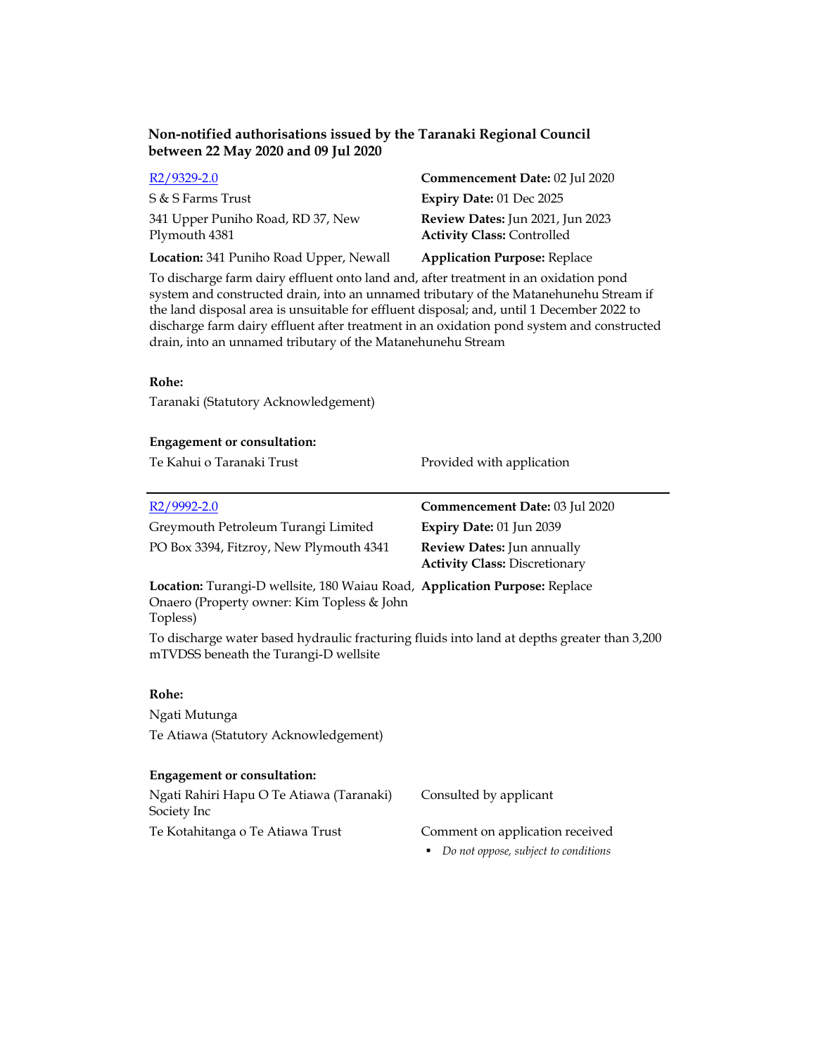| R <sub>2</sub> /9329-2.0                           | Commencement Date: 02 Jul 2020                                               |
|----------------------------------------------------|------------------------------------------------------------------------------|
| S & S Farms Trust                                  | <b>Expiry Date: 01 Dec 2025</b>                                              |
| 341 Upper Puniho Road, RD 37, New<br>Plymouth 4381 | <b>Review Dates:</b> Jun 2021, Jun 2023<br><b>Activity Class: Controlled</b> |
| Location: 341 Puniho Road Upper, Newall            | <b>Application Purpose: Replace</b>                                          |

To discharge farm dairy effluent onto land and, after treatment in an oxidation pond system and constructed drain, into an unnamed tributary of the Matanehunehu Stream if the land disposal area is unsuitable for effluent disposal; and, until 1 December 2022 to discharge farm dairy effluent after treatment in an oxidation pond system and constructed drain, into an unnamed tributary of the Matanehunehu Stream

## **Rohe:**

Taranaki (Statutory Acknowledgement)

| <b>Engagement or consultation:</b>                                                                                                   |                                                                    |
|--------------------------------------------------------------------------------------------------------------------------------------|--------------------------------------------------------------------|
| Te Kahui o Taranaki Trust                                                                                                            | Provided with application                                          |
|                                                                                                                                      |                                                                    |
| $R2/9992-2.0$                                                                                                                        | Commencement Date: 03 Jul 2020                                     |
| Greymouth Petroleum Turangi Limited                                                                                                  | Expiry Date: 01 Jun 2039                                           |
| PO Box 3394, Fitzroy, New Plymouth 4341                                                                                              | Review Dates: Jun annually<br><b>Activity Class: Discretionary</b> |
| Location: Turangi-D wellsite, 180 Waiau Road, Application Purpose: Replace<br>Onaero (Property owner: Kim Topless & John<br>Topless) |                                                                    |
| To discharge water based hydraulic fracturing fluids into land at depths greater than 3,200<br>mTVDSS beneath the Turangi-D wellsite |                                                                    |
| Rohe:                                                                                                                                |                                                                    |
| Ngati Mutunga                                                                                                                        |                                                                    |
| Te Atiawa (Statutory Acknowledgement)                                                                                                |                                                                    |
|                                                                                                                                      |                                                                    |
| <b>Engagement or consultation:</b>                                                                                                   |                                                                    |
| Ngati Rahiri Hapu O Te Atiawa (Taranaki)<br>Society Inc                                                                              | Consulted by applicant                                             |

Te Kotahitanga o Te Atiawa Trust Comment on application received

*Do not oppose, subject to conditions*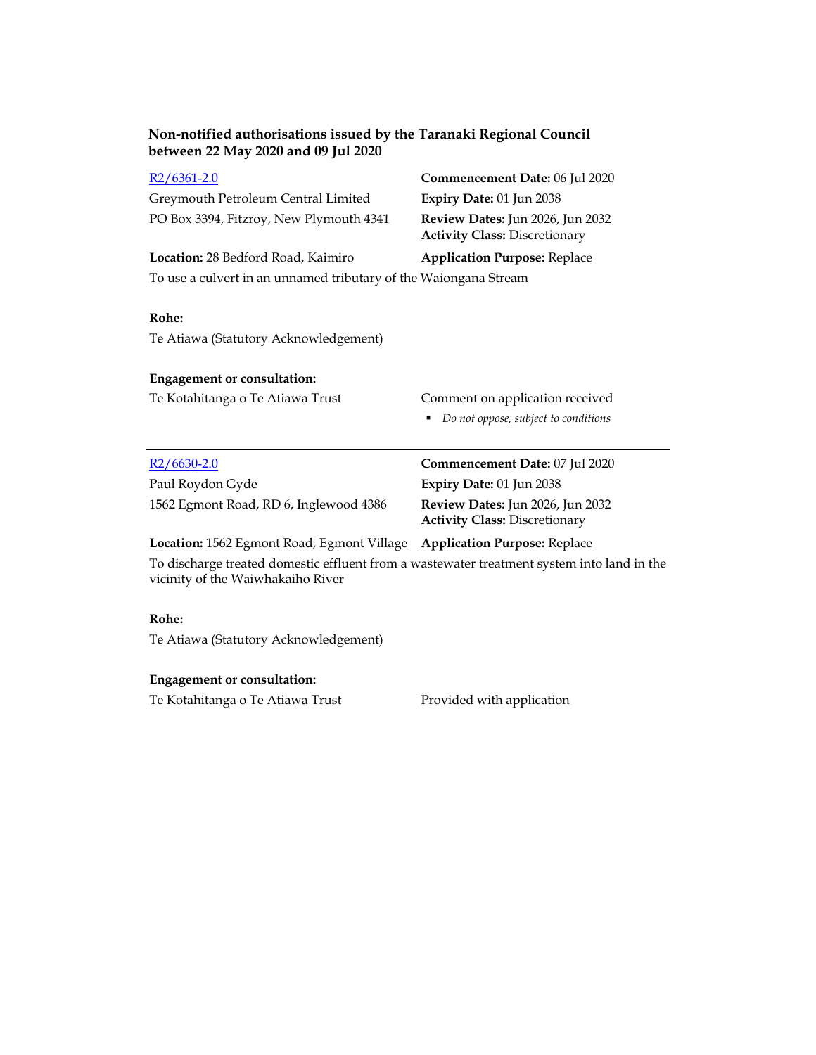| $R2/6361-2.0$                                                                                                                   | Commencement Date: 06 Jul 2020                                           |
|---------------------------------------------------------------------------------------------------------------------------------|--------------------------------------------------------------------------|
| Greymouth Petroleum Central Limited                                                                                             | Expiry Date: 01 Jun 2038                                                 |
| PO Box 3394, Fitzroy, New Plymouth 4341                                                                                         | Review Dates: Jun 2026, Jun 2032<br><b>Activity Class: Discretionary</b> |
| Location: 28 Bedford Road, Kaimiro                                                                                              | <b>Application Purpose: Replace</b>                                      |
| To use a culvert in an unnamed tributary of the Waiongana Stream                                                                |                                                                          |
| Rohe:                                                                                                                           |                                                                          |
| Te Atiawa (Statutory Acknowledgement)                                                                                           |                                                                          |
| <b>Engagement or consultation:</b>                                                                                              |                                                                          |
| Te Kotahitanga o Te Atiawa Trust                                                                                                | Comment on application received                                          |
|                                                                                                                                 | Do not oppose, subject to conditions                                     |
| $R2/6630-2.0$                                                                                                                   | Commencement Date: 07 Jul 2020                                           |
| Paul Roydon Gyde                                                                                                                | Expiry Date: 01 Jun 2038                                                 |
| 1562 Egmont Road, RD 6, Inglewood 4386                                                                                          | Review Dates: Jun 2026, Jun 2032<br><b>Activity Class: Discretionary</b> |
| Location: 1562 Egmont Road, Egmont Village                                                                                      | <b>Application Purpose: Replace</b>                                      |
| To discharge treated domestic effluent from a wastewater treatment system into land in the<br>vicinity of the Waiwhakaiho River |                                                                          |
|                                                                                                                                 |                                                                          |

# **Rohe:**

Te Atiawa (Statutory Acknowledgement)

# **Engagement or consultation:**

Te Kotahitanga o Te Atiawa Trust Provided with application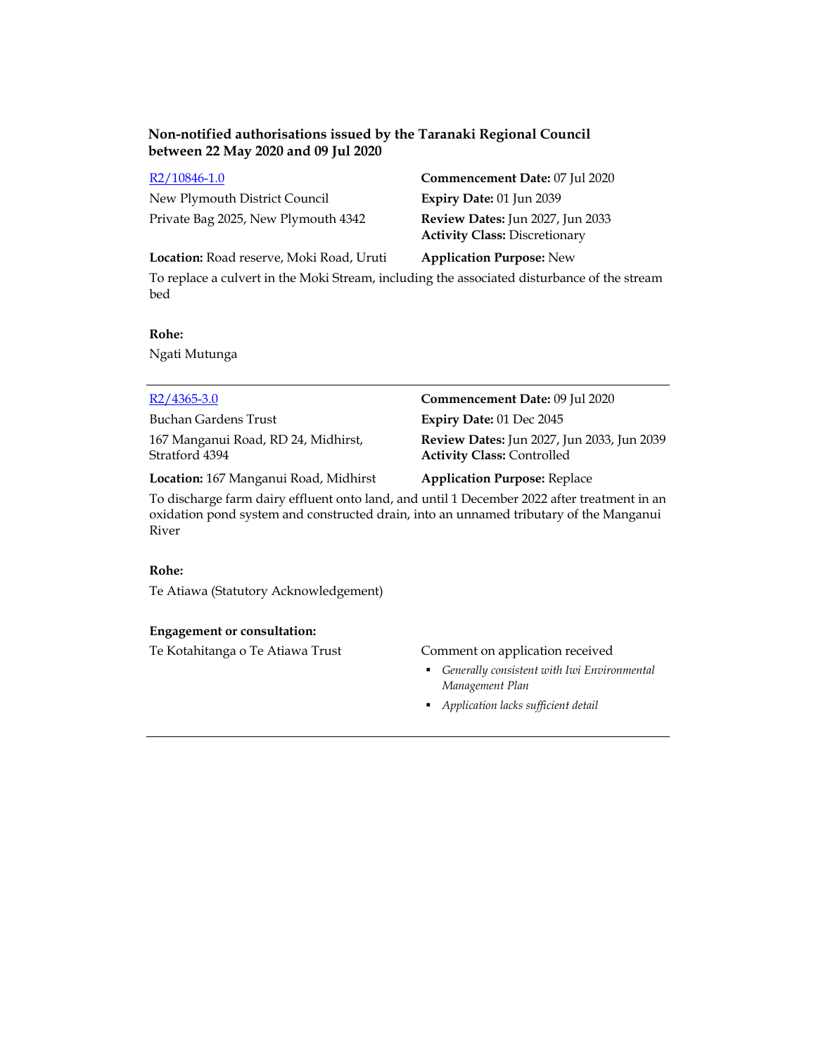New Plymouth District Council **Expiry Date:** 01 Jun 2039 Private Bag 2025, New Plymouth 4342 **Review Dates:** Jun 2027, Jun 2033

R2/10846-1.0 **Commencement Date:** 07 Jul 2020 **Activity Class:** Discretionary

**Location:** Road reserve, Moki Road, Uruti **Application Purpose:** New

To replace a culvert in the Moki Stream, including the associated disturbance of the stream bed

## **Rohe:**

Ngati Mutunga

Buchan Gardens Trust **Expiry Date:** 01 Dec 2045 167 Manganui Road, RD 24, Midhirst, Stratford 4394

R2/4365-3.0 **Commencement Date:** 09 Jul 2020 **Review Dates:** Jun 2027, Jun 2033, Jun 2039 **Activity Class:** Controlled

**Location:** 167 Manganui Road, Midhirst **Application Purpose:** Replace

To discharge farm dairy effluent onto land, and until 1 December 2022 after treatment in an oxidation pond system and constructed drain, into an unnamed tributary of the Manganui River

# **Rohe:**

Te Atiawa (Statutory Acknowledgement)

## **Engagement or consultation:**

Te Kotahitanga o Te Atiawa Trust Comment on application received

- *Generally consistent with Iwi Environmental Management Plan*
- *Application lacks sufficient detail*